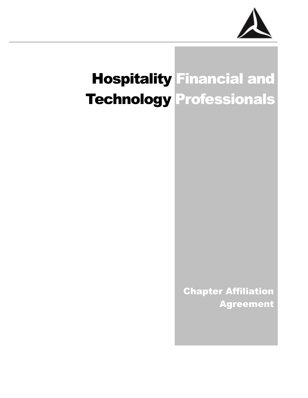

# Hospitality Financial and Technology Professionals

Chapter Affiliation Agreement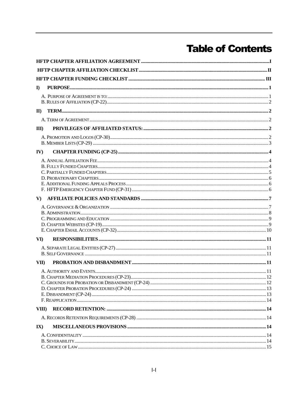# **Table of Contents**

| $\mathbf{D}$             |  |  |  |
|--------------------------|--|--|--|
|                          |  |  |  |
|                          |  |  |  |
| $\mathbf{I}$             |  |  |  |
|                          |  |  |  |
| $\mathbf{H}$             |  |  |  |
|                          |  |  |  |
|                          |  |  |  |
| IV)                      |  |  |  |
|                          |  |  |  |
|                          |  |  |  |
|                          |  |  |  |
|                          |  |  |  |
|                          |  |  |  |
| V                        |  |  |  |
|                          |  |  |  |
|                          |  |  |  |
|                          |  |  |  |
|                          |  |  |  |
|                          |  |  |  |
| VI)                      |  |  |  |
|                          |  |  |  |
|                          |  |  |  |
| VII)                     |  |  |  |
|                          |  |  |  |
|                          |  |  |  |
|                          |  |  |  |
|                          |  |  |  |
|                          |  |  |  |
| VIII)                    |  |  |  |
|                          |  |  |  |
| $\mathbf{I}(\mathbf{X})$ |  |  |  |
|                          |  |  |  |
|                          |  |  |  |
|                          |  |  |  |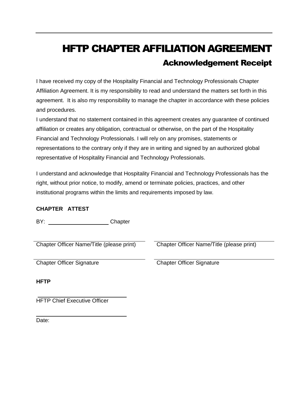# <span id="page-2-0"></span>HFTP CHAPTER AFFILIATION AGREEMENT Acknowledgement Receipt

I have received my copy of the Hospitality Financial and Technology Professionals Chapter Affiliation Agreement. It is my responsibility to read and understand the matters set forth in this agreement. It is also my responsibility to manage the chapter in accordance with these policies and procedures.

I understand that no statement contained in this agreement creates any guarantee of continued affiliation or creates any obligation, contractual or otherwise, on the part of the Hospitality Financial and Technology Professionals. I will rely on any promises, statements or representations to the contrary only if they are in writing and signed by an authorized global representative of Hospitality Financial and Technology Professionals.

I understand and acknowledge that Hospitality Financial and Technology Professionals has the right, without prior notice, to modify, amend or terminate policies, practices, and other institutional programs within the limits and requirements imposed by law.

i<br>L

#### **CHAPTER ATTEST**

BY: Chapter

Chapter Officer Name/Title (please print) Chapter Officer Name/Title (please print)

Chapter Officer Signature Chapter Officer Signature

**HFTP** 

HFTP Chief Executive Officer

Date: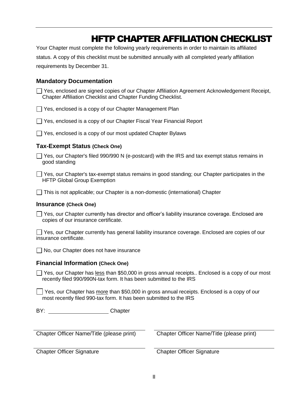### HFTP CHAPTER AFFILIATION CHECKLIST

<span id="page-3-0"></span>Your Chapter must complete the following yearly requirements in order to maintain its affiliated status. A copy of this checklist must be submitted annually with all completed yearly affiliation requirements by December 31.

#### **Mandatory Documentation**

Yes, enclosed are signed copies of our Chapter Affiliation Agreement Acknowledgement Receipt, Chapter Affiliation Checklist and Chapter Funding Checklist.

 $\Box$  Yes, enclosed is a copy of our Chapter Management Plan

Yes, enclosed is a copy of our Chapter Fiscal Year Financial Report

 $\Box$  Yes, enclosed is a copy of our most updated Chapter Bylaws

#### **Tax-Exempt Status (Check One)**

 $\Box$  Yes, our Chapter's filed 990/990 N (e-postcard) with the IRS and tax exempt status remains in good standing

 $\Box$  Yes, our Chapter's tax-exempt status remains in good standing; our Chapter participates in the HFTP Global Group Exemption

 $\Box$  This is not applicable; our Chapter is a non-domestic (international) Chapter

#### **Insurance (Check One)**

 $\Box$  Yes, our Chapter currently has director and officer's liability insurance coverage. Enclosed are copies of our insurance certificate.

Yes, our Chapter currently has general liability insurance coverage. Enclosed are copies of our insurance certificate.

No, our Chapter does not have insurance

#### **Financial Information (Check One)**

 $\Box$  Yes, our Chapter has less than \$50,000 in gross annual receipts.. Enclosed is a copy of our most recently filed 990/990N-tax form. It has been submitted to the IRS

Yes, our Chapter has more than \$50,000 in gross annual receipts. Enclosed is a copy of our most recently filed 990-tax form. It has been submitted to the IRS

BY: Chapter

Chapter Officer Name/Title (please print) Chapter Officer Name/Title (please print)

Chapter Officer Signature Chapter Officer Signature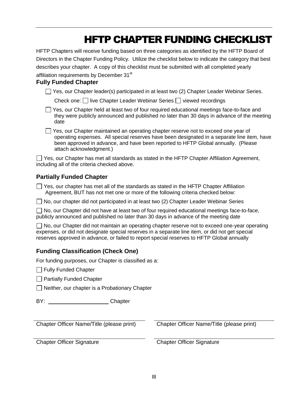# HFTP CHAPTER FUNDING CHECKLIST

<span id="page-4-0"></span>HFTP Chapters will receive funding based on three categories as identified by the HFTP Board of Directors in the Chapter Funding Policy. Utilize the checklist below to indicate the category that best describes your chapter. A copy of this checklist must be submitted with all completed yearly affiliation requirements by December 31<sup>st</sup>

#### **Fully Funded Chapter**

 $\Box$  Yes, our Chapter leader(s) participated in at least two (2) Chapter Leader Webinar Series.

Check one:  $\Box$  live Chapter Leader Webinar Series  $\Box$  viewed recordings

 $\Box$  Yes, our Chapter held at least two of four required educational meetings face-to-face and they were publicly announced and published no later than 30 days in advance of the meeting date

 $\Box$  Yes, our Chapter maintained an operating chapter reserve not to exceed one year of operating expenses. All special reserves have been designated in a separate line item, have been approved in advance, and have been reported to HFTP Global annually. (Please attach acknowledgment.)

 $\Box$  Yes, our Chapter has met all standards as stated in the HFTP Chapter Affiliation Agreement, including all of the criteria checked above.

#### **Partially Funded Chapter**

 $\Box$  Yes, our chapter has met all of the standards as stated in the HFTP Chapter Affiliation Agreement, BUT has not met one or more of the following criteria checked below:

 $\Box$  No, our chapter did not participated in at least two (2) Chapter Leader Webinar Series

 $\Box$  No, our Chapter did not have at least two of four required educational meetings face-to-face, publicly announced and published no later than 30 days in advance of the meeting date

□ No, our Chapter did not maintain an operating chapter reserve not to exceed one-year operating expenses, or did not designate special reserves in a separate line item, or did not get special reserves approved in advance, or failed to report special reserves to HFTP Global annually

#### **Funding Classification (Check One)**

For funding purposes, our Chapter is classified as a:

 $\Box$  Fully Funded Chapter

**Partially Funded Chapter** 

 $\Box$  Neither, our chapter is a Probationary Chapter

| BY: | Chapter |
|-----|---------|
|     |         |

Chapter Officer Name/Title (please print) Chapter Officer Name/Title (please print)

Chapter Officer Signature Chapter Officer Signature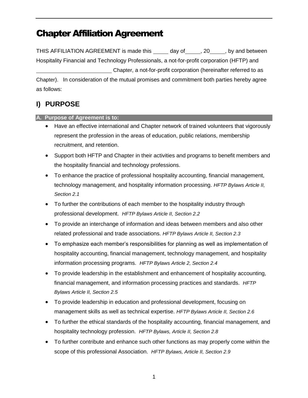THIS AFFILIATION AGREEMENT is made this day of , 20 , by and between Hospitality Financial and Technology Professionals, a not-for-profit corporation (HFTP) and Chapter, a not-for-profit corporation (hereinafter referred to as Chapter). In consideration of the mutual promises and commitment both parties hereby agree as follows:

### <span id="page-5-0"></span>**I) PURPOSE**

<span id="page-5-1"></span>**A. Purpose of Agreement is to:** 

- Have an effective international and Chapter network of trained volunteers that vigorously represent the profession in the areas of education, public relations, membership recruitment, and retention.
- Support both HFTP and Chapter in their activities and programs to benefit members and the hospitality financial and technology professions.
- To enhance the practice of professional hospitality accounting, financial management, technology management, and hospitality information processing. *HFTP Bylaws Article II, Section 2.1*
- To further the contributions of each member to the hospitality industry through professional development. *HFTP Bylaws Article II, Section 2.2*
- To provide an interchange of information and ideas between members and also other related professional and trade associations. *HFTP Bylaws Article II, Section 2.3*
- To emphasize each member's responsibilities for planning as well as implementation of hospitality accounting, financial management, technology management, and hospitality information processing programs. *HFTP Bylaws Article 2, Section 2.4*
- To provide leadership in the establishment and enhancement of hospitality accounting, financial management, and information processing practices and standards. *HFTP Bylaws Article II, Section 2.5*
- To provide leadership in education and professional development, focusing on management skills as well as technical expertise. *HFTP Bylaws Article II, Section 2.6*
- To further the ethical standards of the hospitality accounting, financial management, and hospitality technology profession. *HFTP Bylaws, Article II, Section 2.8*
- To further contribute and enhance such other functions as may properly come within the scope of this professional Association. *HFTP Bylaws, Article II, Section 2.9*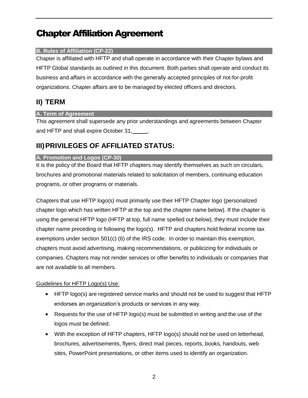#### <span id="page-6-0"></span>**B. Rules of Affiliation (CP-22)**

Chapter is affiliated with HFTP and shall operate in accordance with their Chapter bylaws and HFTP Global standards as outlined in this document. Both parties shall operate and conduct its business and affairs in accordance with the generally accepted principles of not-for-profit organizations. Chapter affairs are to be managed by elected officers and directors.

### <span id="page-6-1"></span>**II) TERM**

#### <span id="page-6-2"></span>**A. Term of Agreement**

This agreement shall supersede any prior understandings and agreements between Chapter and HFTP and shall expire October 31,

### <span id="page-6-3"></span>**III)PRIVILEGES OF AFFILIATED STATUS:**

#### <span id="page-6-4"></span>**A. Promotion and Logos (CP-30)**

It is the policy of the Board that HFTP chapters may identify themselves as such on circulars, brochures and promotional materials related to solicitation of members, continuing education programs, or other programs or materials.

Chapters that use HFTP logo(s) must primarily use their HFTP Chapter logo (personalized chapter logo which has written HFTP at the top and the chapter name below). If the chapter is using the general HFTP logo (HFTP at top, full name spelled out below), they must include their chapter name preceding or following the logo(s). HFTP and chapters hold federal income tax exemptions under section 501(c) (6) of the IRS code. In order to maintain this exemption, chapters must avoid advertising, making recommendations, or publicizing for individuals or companies. Chapters may not render services or offer benefits to individuals or companies that are not available to all members.

#### Guidelines for HFTP Logo(s) Use:

- HFTP logo(s) are registered service marks and should not be used to suggest that HFTP endorses an organization's products or services in any way.
- Requests for the use of HFTP logo(s) must be submitted in writing and the use of the logos must be defined.
- With the exception of HFTP chapters, HFTP logo(s) should not be used on letterhead, brochures, advertisements, flyers, direct mail pieces, reports, books, handouts, web sites, PowerPoint presentations, or other items used to identify an organization.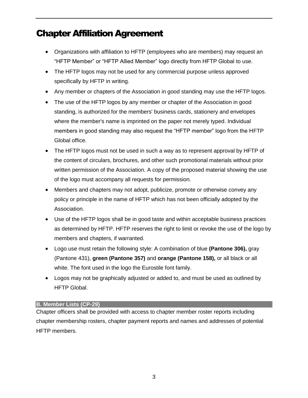- Organizations with affiliation to HFTP (employees who are members) may request an "HFTP Member" or "HFTP Allied Member" logo directly from HFTP Global to use.
- The HFTP logos may not be used for any commercial purpose unless approved specifically by HFTP in writing.
- Any member or chapters of the Association in good standing may use the HFTP logos.
- The use of the HFTP logos by any member or chapter of the Association in good standing, is authorized for the members' business cards, stationery and envelopes where the member's name is imprinted on the paper not merely typed. Individual members in good standing may also request the "HFTP member" logo from the HFTP Global office.
- The HFTP logos must not be used in such a way as to represent approval by HFTP of the content of circulars, brochures, and other such promotional materials without prior written permission of the Association. A copy of the proposed material showing the use of the logo must accompany all requests for permission.
- Members and chapters may not adopt, publicize, promote or otherwise convey any policy or principle in the name of HFTP which has not been officially adopted by the Association.
- Use of the HFTP logos shall be in good taste and within acceptable business practices as determined by HFTP. HFTP reserves the right to limit or revoke the use of the logo by members and chapters, if warranted.
- Logo use must retain the following style: A combination of blue **(Pantone 306),** gray (Pantone 431), **green (Pantone 357)** and **orange (Pantone 158),** or all black or all white. The font used in the logo the Eurostile font family.
- Logos may not be graphically adjusted or added to, and must be used as outlined by HFTP Global.

#### <span id="page-7-0"></span>**B. Member Lists (CP-29)**

Chapter officers shall be provided with access to chapter member roster reports including chapter membership rosters, chapter payment reports and names and addresses of potential HFTP members.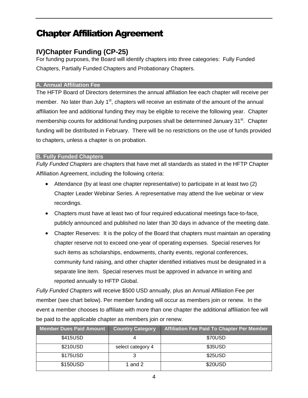### <span id="page-8-0"></span>**IV)Chapter Funding (CP-25)**

For funding purposes, the Board will identify chapters into three categories: Fully Funded Chapters, Partially Funded Chapters and Probationary Chapters.

#### <span id="page-8-1"></span>**A. Annual Affiliation Fee**

The HFTP Board of Directors determines the annual affiliation fee each chapter will receive per member. No later than July  $1<sup>st</sup>$ , chapters will receive an estimate of the amount of the annual affiliation fee and additional funding they may be eligible to receive the following year. Chapter membership counts for additional funding purposes shall be determined January 31<sup>st</sup>. Chapter funding will be distributed in February. There will be no restrictions on the use of funds provided to chapters, unless a chapter is on probation.

#### <span id="page-8-2"></span>**B. Fully Funded Chapters**

*Fully Funded Chapters* are chapters that have met all standards as stated in the HFTP Chapter Affiliation Agreement, including the following criteria:

- Attendance (by at least one chapter representative) to participate in at least two (2) Chapter Leader Webinar Series. A representative may attend the live webinar or view recordings.
- Chapters must have at least two of four required educational meetings face-to-face, publicly announced and published no later than 30 days in advance of the meeting date.
- Chapter Reserves: It is the policy of the Board that chapters must maintain an operating chapter reserve not to exceed one-year of operating expenses. Special reserves for such items as scholarships, endowments, charity events, regional conferences, community fund raising, and other chapter identified initiatives must be designated in a separate line item. Special reserves must be approved in advance in writing and reported annually to HFTP Global.

*Fully Funded Chapters* will receive \$500 USD annually, plus an Annual Affiliation Fee per member (see chart below). Per member funding will occur as members join or renew. In the event a member chooses to affiliate with more than one chapter the additional affiliation fee will be paid to the applicable chapter as members join or renew.

| <b>Member Dues Paid Amount</b> | <b>Country Category</b> | <b>Affiliation Fee Paid To Chapter Per Member</b> |
|--------------------------------|-------------------------|---------------------------------------------------|
| \$415USD                       |                         | \$70USD                                           |
| \$210USD                       | select category 4       | \$35USD                                           |
| \$175USD                       |                         | \$25USD                                           |
| \$150USD                       | 1 and 2                 | \$20USD                                           |

4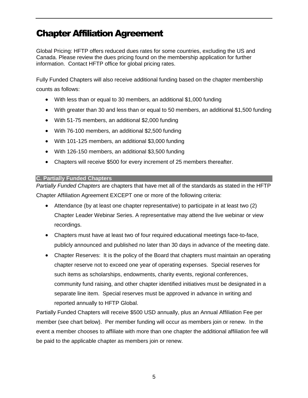Global Pricing: HFTP offers reduced dues rates for some countries, excluding the US and Canada. Please review the dues pricing found on the membership application for further information. Contact HFTP office for global pricing rates.

Fully Funded Chapters will also receive additional funding based on the chapter membership counts as follows:

- With less than or equal to 30 members, an additional \$1,000 funding
- With greater than 30 and less than or equal to 50 members, an additional \$1,500 funding
- With 51-75 members, an additional \$2,000 funding
- With 76-100 members, an additional \$2,500 funding
- With 101-125 members, an additional \$3,000 funding
- With 126-150 members, an additional \$3,500 funding
- Chapters will receive \$500 for every increment of 25 members thereafter.

#### <span id="page-9-0"></span>**C. Partially Funded Chapters**

*Partially Funded Chapters* are chapters that have met all of the standards as stated in the HFTP Chapter Affiliation Agreement EXCEPT one or more of the following criteria:

- Attendance (by at least one chapter representative) to participate in at least two (2) Chapter Leader Webinar Series. A representative may attend the live webinar or view recordings.
- Chapters must have at least two of four required educational meetings face-to-face, publicly announced and published no later than 30 days in advance of the meeting date.
- Chapter Reserves: It is the policy of the Board that chapters must maintain an operating chapter reserve not to exceed one year of operating expenses. Special reserves for such items as scholarships, endowments, charity events, regional conferences, community fund raising, and other chapter identified initiatives must be designated in a separate line item. Special reserves must be approved in advance in writing and reported annually to HFTP Global.

Partially Funded Chapters will receive \$500 USD annually, plus an Annual Affiliation Fee per member (see chart below). Per member funding will occur as members join or renew. In the event a member chooses to affiliate with more than one chapter the additional affiliation fee will be paid to the applicable chapter as members join or renew.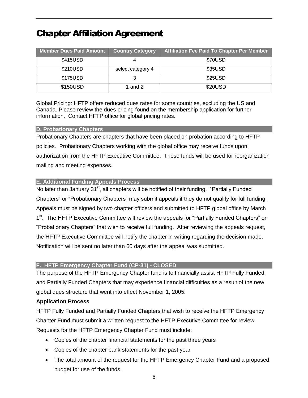| <b>Member Dues Paid Amount</b> | <b>Country Category</b> | <b>Affiliation Fee Paid To Chapter Per Member</b> |
|--------------------------------|-------------------------|---------------------------------------------------|
| \$415USD                       |                         | \$70USD                                           |
| \$210USD                       | select category 4       | \$35USD                                           |
| \$175USD                       |                         | \$25USD                                           |
| \$150USD                       | 1 and 2                 | \$20USD                                           |

Global Pricing: HFTP offers reduced dues rates for some countries, excluding the US and Canada. Please review the dues pricing found on the membership application for further information. Contact HFTP office for global pricing rates.

#### <span id="page-10-0"></span>**D. Probationary Chapters**

Probationary Chapters are chapters that have been placed on probation according to HFTP policies. Probationary Chapters working with the global office may receive funds upon authorization from the HFTP Executive Committee. These funds will be used for reorganization mailing and meeting expenses.

#### <span id="page-10-1"></span>**E. Additional Funding Appeals Process**

No later than January  $31<sup>st</sup>$ , all chapters will be notified of their funding. "Partially Funded Chapters" or "Probationary Chapters" may submit appeals if they do not qualify for full funding. Appeals must be signed by two chapter officers and submitted to HFTP global office by March 1<sup>st</sup>. The HFTP Executive Committee will review the appeals for "Partially Funded Chapters" or "Probationary Chapters" that wish to receive full funding. After reviewing the appeals request, the HFTP Executive Committee will notify the chapter in writing regarding the decision made. Notification will be sent no later than 60 days after the appeal was submitted.

#### <span id="page-10-2"></span>**F. HFTP Emergency Chapter Fund (CP-31) - CLOSED**

The purpose of the HFTP Emergency Chapter fund is to financially assist HFTP Fully Funded and Partially Funded Chapters that may experience financial difficulties as a result of the new global dues structure that went into effect November 1, 2005.

#### **Application Process**

HFTP Fully Funded and Partially Funded Chapters that wish to receive the HFTP Emergency Chapter Fund must submit a written request to the HFTP Executive Committee for review. Requests for the HFTP Emergency Chapter Fund must include:

- Copies of the chapter financial statements for the past three years
- Copies of the chapter bank statements for the past year
- The total amount of the request for the HFTP Emergency Chapter Fund and a proposed budget for use of the funds.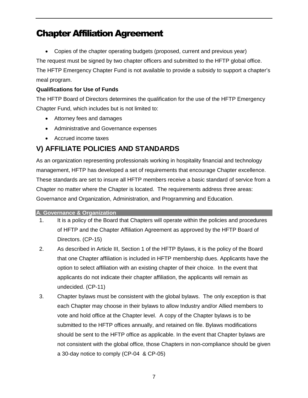Copies of the chapter operating budgets (proposed, current and previous year)

The request must be signed by two chapter officers and submitted to the HFTP global office. The HFTP Emergency Chapter Fund is not available to provide a subsidy to support a chapter's meal program.

#### **Qualifications for Use of Funds**

The HFTP Board of Directors determines the qualification for the use of the HFTP Emergency Chapter Fund, which includes but is not limited to:

- Attorney fees and damages
- Administrative and Governance expenses
- Accrued income taxes

### <span id="page-11-0"></span>**V) AFFILIATE POLICIES AND STANDARDS**

As an organization representing professionals working in hospitality financial and technology management, HFTP has developed a set of requirements that encourage Chapter excellence. These standards are set to insure all HFTP members receive a basic standard of service from a Chapter no matter where the Chapter is located. The requirements address three areas: Governance and Organization, Administration, and Programming and Education.

#### <span id="page-11-1"></span>**A. Governance & Organization**

- 1. It is a policy of the Board that Chapters will operate within the policies and procedures of HFTP and the Chapter Affiliation Agreement as approved by the HFTP Board of Directors. (CP-15)
- 2. As described in Article III, Section 1 of the HFTP Bylaws, it is the policy of the Board that one Chapter affiliation is included in HFTP membership dues. Applicants have the option to select affiliation with an existing chapter of their choice. In the event that applicants do not indicate their chapter affiliation, the applicants will remain as undecided. (CP-11)
- 3. Chapter bylaws must be consistent with the global bylaws. The only exception is that each Chapter may choose in their bylaws to allow Industry and/or Allied members to vote and hold office at the Chapter level. A copy of the Chapter bylaws is to be submitted to the HFTP offices annually, and retained on file. Bylaws modifications should be sent to the HFTP office as applicable. In the event that Chapter bylaws are not consistent with the global office, those Chapters in non-compliance should be given a 30-day notice to comply (CP-04 & CP-05)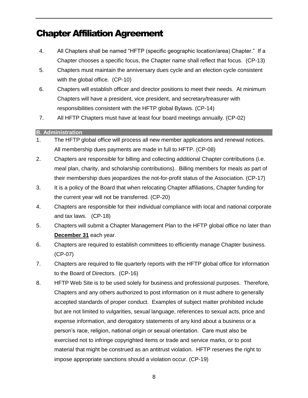- 4. All Chapters shall be named "HFTP (specific geographic location/area) Chapter." If a Chapter chooses a specific focus, the Chapter name shall reflect that focus. (CP-13)
- 5. Chapters must maintain the anniversary dues cycle and an election cycle consistent with the global office. (CP-10)
- 6. Chapters will establish officer and director positions to meet their needs. At minimum Chapters will have a president, vice president, and secretary/treasurer with responsibilities consistent with the HFTP global Bylaws. (CP-14)
- 7. All HFTP Chapters must have at least four board meetings annually. (CP-02)

#### <span id="page-12-0"></span>**B. Administration**

- 1. The HFTP global office will process all new member applications and renewal notices. All membership dues payments are made in full to HFTP. (CP-08)
- 2. Chapters are responsible for billing and collecting additional Chapter contributions (i.e. meal plan, charity, and scholarship contributions). Billing members for meals as part of their membership dues jeopardizes the not-for-profit status of the Association. (CP-17)
- 3. It is a policy of the Board that when relocating Chapter affiliations, Chapter funding for the current year will not be transferred. (CP-20)
- 4. Chapters are responsible for their individual compliance with local and national corporate and tax laws. (CP-18)
- 5. Chapters will submit a Chapter Management Plan to the HFTP global office no later than **December 31** each year.
- 6. Chapters are required to establish committees to efficiently manage Chapter business. (CP-07)
- 7. Chapters are required to file quarterly reports with the HFTP global office for information to the Board of Directors. (CP-16)
- 8. HFTP Web Site is to be used solely for business and professional purposes. Therefore, Chapters and any others authorized to post information on it must adhere to generally accepted standards of proper conduct. Examples of subject matter prohibited include but are not limited to vulgarities, sexual language, references to sexual acts, price and expense information, and derogatory statements of any kind about a business or a person's race, religion, national origin or sexual orientation. Care must also be exercised not to infringe copyrighted items or trade and service marks, or to post material that might be construed as an antitrust violation. HFTP reserves the right to impose appropriate sanctions should a violation occur. (CP-19)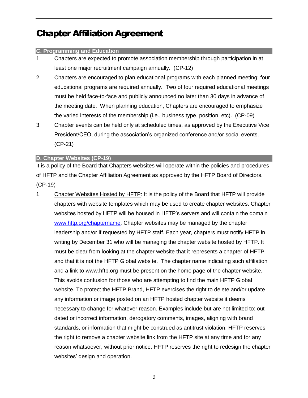#### <span id="page-13-0"></span>**C. Programming and Education**

- 1. Chapters are expected to promote association membership through participation in at least one major recruitment campaign annually. (CP-12)
- 2. Chapters are encouraged to plan educational programs with each planned meeting; four educational programs are required annually. Two of four required educational meetings must be held face-to-face and publicly announced no later than 30 days in advance of the meeting date. When planning education, Chapters are encouraged to emphasize the varied interests of the membership (i.e., business type, position, etc). (CP-09)
- 3. Chapter events can be held only at scheduled times, as approved by the Executive Vice President/CEO, during the association's organized conference and/or social events. (CP-21)

#### <span id="page-13-1"></span>**D. Chapter Websites (CP-19)**

It is a policy of the Board that Chapters websites will operate within the policies and procedures of HFTP and the Chapter Affiliation Agreement as approved by the HFTP Board of Directors. (CP-19)

1. Chapter Websites Hosted by HFTP: It is the policy of the Board that HFTP will provide chapters with website templates which may be used to create chapter websites. Chapter websites hosted by HFTP will be housed in HFTP's servers and will contain the domain [www.hftp.org/chaptername.](http://www.hftp.org/chaptername) Chapter websites may be managed by the chapter leadership and/or if requested by HFTP staff. Each year, chapters must notify HFTP in writing by December 31 who will be managing the chapter website hosted by HFTP. It must be clear from looking at the chapter website that it represents a chapter of HFTP and that it is not the HFTP Global website. The chapter name indicating such affiliation and a link to www.hftp.org must be present on the home page of the chapter website. This avoids confusion for those who are attempting to find the main HFTP Global website. To protect the HFTP Brand, HFTP exercises the right to delete and/or update any information or image posted on an HFTP hosted chapter website it deems necessary to change for whatever reason. Examples include but are not limited to: out dated or incorrect information, derogatory comments, images, aligning with brand standards, or information that might be construed as antitrust violation. HFTP reserves the right to remove a chapter website link from the HFTP site at any time and for any reason whatsoever, without prior notice. HFTP reserves the right to redesign the chapter websites' design and operation.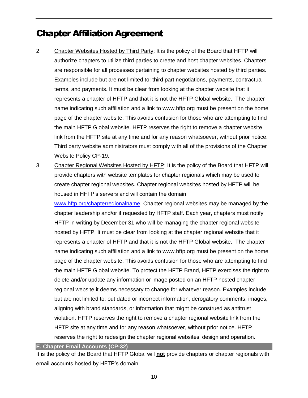- 2. Chapter Websites Hosted by Third Party: It is the policy of the Board that HFTP will authorize chapters to utilize third parties to create and host chapter websites. Chapters are responsible for all processes pertaining to chapter websites hosted by third parties. Examples include but are not limited to: third part negotiations, payments, contractual terms, and payments. It must be clear from looking at the chapter website that it represents a chapter of HFTP and that it is not the HFTP Global website. The chapter name indicating such affiliation and a link to www.hftp.org must be present on the home page of the chapter website. This avoids confusion for those who are attempting to find the main HFTP Global website. HFTP reserves the right to remove a chapter website link from the HFTP site at any time and for any reason whatsoever, without prior notice. Third party website administrators must comply with all of the provisions of the Chapter Website Policy CP-19.
- 3. Chapter Regional Websites Hosted by HFTP: It is the policy of the Board that HFTP will provide chapters with website templates for chapter regionals which may be used to create chapter regional websites. Chapter regional websites hosted by HFTP will be housed in HFTP's servers and will contain the domain

[www.hftp.org/chapterregionalname.](http://www.hftp.org/chapterregionalname) Chapter regional websites may be managed by the chapter leadership and/or if requested by HFTP staff. Each year, chapters must notify HFTP in writing by December 31 who will be managing the chapter regional website hosted by HFTP. It must be clear from looking at the chapter regional website that it represents a chapter of HFTP and that it is not the HFTP Global website. The chapter name indicating such affiliation and a link to www.hftp.org must be present on the home page of the chapter website. This avoids confusion for those who are attempting to find the main HFTP Global website. To protect the HFTP Brand, HFTP exercises the right to delete and/or update any information or image posted on an HFTP hosted chapter regional website it deems necessary to change for whatever reason. Examples include but are not limited to: out dated or incorrect information, derogatory comments, images, aligning with brand standards, or information that might be construed as antitrust violation. HFTP reserves the right to remove a chapter regional website link from the HFTP site at any time and for any reason whatsoever, without prior notice. HFTP reserves the right to redesign the chapter regional websites' design and operation.

<span id="page-14-0"></span>**E. Chapter Email Accounts (CP-32)**

It is the policy of the Board that HFTP Global will **not** provide chapters or chapter regionals with email accounts hosted by HFTP's domain.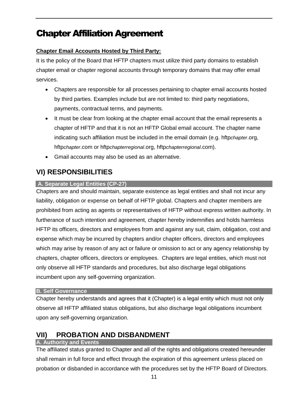#### **Chapter Email Accounts Hosted by Third Party:**

It is the policy of the Board that HFTP chapters must utilize third party domains to establish chapter email or chapter regional accounts through temporary domains that may offer email services.

- Chapters are responsible for all processes pertaining to chapter email accounts hosted by third parties. Examples include but are not limited to: third party negotiations, payments, contractual terms, and payments.
- It must be clear from looking at the chapter email account that the email represents a chapter of HFTP and that it is not an HFTP Global email account. The chapter name indicating such affiliation must be included in the email domain (e.g. hftp*chapter*.org, hftp*chapter*.com or hftp*chapterregional*.org, hftp*chapterregional*.com).
- Gmail accounts may also be used as an alternative.

### <span id="page-15-0"></span>**VI) RESPONSIBILITIES**

#### <span id="page-15-1"></span>**A. Separate Legal Entities (CP-27)**

Chapters are and should maintain, separate existence as legal entities and shall not incur any liability, obligation or expense on behalf of HFTP global. Chapters and chapter members are prohibited from acting as agents or representatives of HFTP without express written authority. In furtherance of such intention and agreement, chapter hereby indemnifies and holds harmless HFTP its officers, directors and employees from and against any suit, claim, obligation, cost and expense which may be incurred by chapters and/or chapter officers, directors and employees which may arise by reason of any act or failure or omission to act or any agency relationship by chapters, chapter officers, directors or employees. Chapters are legal entities, which must not only observe all HFTP standards and procedures, but also discharge legal obligations incumbent upon any self-governing organization.

#### <span id="page-15-2"></span>**B. Self Governance**

Chapter hereby understands and agrees that it (Chapter) is a legal entity which must not only observe all HFTP affiliated status obligations, but also discharge legal obligations incumbent upon any self-governing organization.

### <span id="page-15-3"></span>**VII) PROBATION AND DISBANDMENT**

#### <span id="page-15-4"></span>**A. Authority and Events**

The affiliated status granted to Chapter and all of the rights and obligations created hereunder shall remain in full force and effect through the expiration of this agreement unless placed on probation or disbanded in accordance with the procedures set by the HFTP Board of Directors.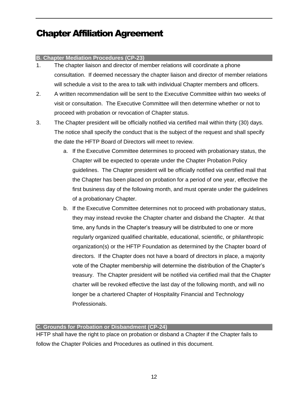#### <span id="page-16-0"></span>**B. Chapter Mediation Procedures (CP-23)**

- 1. The chapter liaison and director of member relations will coordinate a phone consultation. If deemed necessary the chapter liaison and director of member relations will schedule a visit to the area to talk with individual Chapter members and officers.
- 2. A written recommendation will be sent to the Executive Committee within two weeks of visit or consultation. The Executive Committee will then determine whether or not to proceed with probation or revocation of Chapter status.
- 3. The Chapter president will be officially notified via certified mail within thirty (30) days. The notice shall specify the conduct that is the subject of the request and shall specify the date the HFTP Board of Directors will meet to review.
	- a. If the Executive Committee determines to proceed with probationary status, the Chapter will be expected to operate under the Chapter Probation Policy guidelines. The Chapter president will be officially notified via certified mail that the Chapter has been placed on probation for a period of one year, effective the first business day of the following month, and must operate under the guidelines of a probationary Chapter.
	- b. If the Executive Committee determines not to proceed with probationary status, they may instead revoke the Chapter charter and disband the Chapter. At that time, any funds in the Chapter's treasury will be distributed to one or more regularly organized qualified charitable, educational, scientific, or philanthropic organization(s) or the HFTP Foundation as determined by the Chapter board of directors. If the Chapter does not have a board of directors in place, a majority vote of the Chapter membership will determine the distribution of the Chapter's treasury. The Chapter president will be notified via certified mail that the Chapter charter will be revoked effective the last day of the following month, and will no longer be a chartered Chapter of Hospitality Financial and Technology Professionals.

#### <span id="page-16-1"></span>**C. Grounds for Probation or Disbandment (CP-24)**

HFTP shall have the right to place on probation or disband a Chapter if the Chapter fails to follow the Chapter Policies and Procedures as outlined in this document.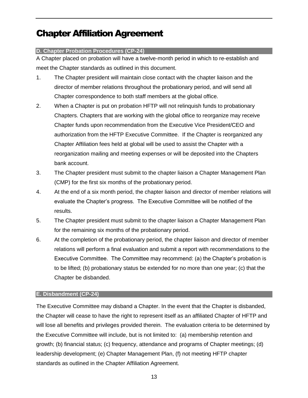#### <span id="page-17-0"></span>**D. Chapter Probation Procedures (CP-24)**

A Chapter placed on probation will have a twelve-month period in which to re-establish and meet the Chapter standards as outlined in this document.

- 1. The Chapter president will maintain close contact with the chapter liaison and the director of member relations throughout the probationary period, and will send all Chapter correspondence to both staff members at the global office.
- 2. When a Chapter is put on probation HFTP will not relinquish funds to probationary Chapters. Chapters that are working with the global office to reorganize may receive Chapter funds upon recommendation from the Executive Vice President/CEO and authorization from the HFTP Executive Committee. If the Chapter is reorganized any Chapter Affiliation fees held at global will be used to assist the Chapter with a reorganization mailing and meeting expenses or will be deposited into the Chapters bank account.
- 3. The Chapter president must submit to the chapter liaison a Chapter Management Plan (CMP) for the first six months of the probationary period.
- 4. At the end of a six month period, the chapter liaison and director of member relations will evaluate the Chapter's progress. The Executive Committee will be notified of the results.
- 5. The Chapter president must submit to the chapter liaison a Chapter Management Plan for the remaining six months of the probationary period.
- 6. At the completion of the probationary period, the chapter liaison and director of member relations will perform a final evaluation and submit a report with recommendations to the Executive Committee. The Committee may recommend: (a) the Chapter's probation is to be lifted; (b) probationary status be extended for no more than one year; (c) that the Chapter be disbanded.

#### <span id="page-17-1"></span>**E. Disbandment (CP-24)**

The Executive Committee may disband a Chapter. In the event that the Chapter is disbanded, the Chapter will cease to have the right to represent itself as an affiliated Chapter of HFTP and will lose all benefits and privileges provided therein. The evaluation criteria to be determined by the Executive Committee will include, but is not limited to: (a) membership retention and growth; (b) financial status; (c) frequency, attendance and programs of Chapter meetings; (d) leadership development; (e) Chapter Management Plan, (f) not meeting HFTP chapter standards as outlined in the Chapter Affiliation Agreement.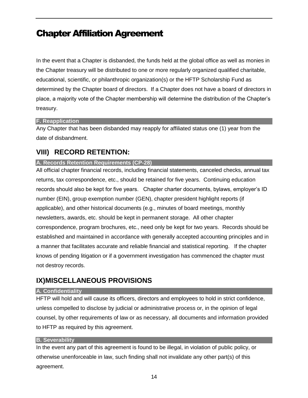In the event that a Chapter is disbanded, the funds held at the global office as well as monies in the Chapter treasury will be distributed to one or more regularly organized qualified charitable, educational, scientific, or philanthropic organization(s) or the HFTP Scholarship Fund as determined by the Chapter board of directors. If a Chapter does not have a board of directors in place, a majority vote of the Chapter membership will determine the distribution of the Chapter's treasury.

#### <span id="page-18-0"></span>**F. Reapplication**

Any Chapter that has been disbanded may reapply for affiliated status one (1) year from the date of disbandment.

### <span id="page-18-1"></span>**VIII) RECORD RETENTION:**

#### <span id="page-18-2"></span>**A. Records Retention Requirements (CP-28)**

All official chapter financial records, including financial statements, canceled checks, annual tax returns, tax correspondence, etc., should be retained for five years. Continuing education records should also be kept for five years. Chapter charter documents, bylaws, employer's ID number (EIN), group exemption number (GEN), chapter president highlight reports (if applicable), and other historical documents (e.g., minutes of board meetings, monthly newsletters, awards, etc. should be kept in permanent storage. All other chapter correspondence, program brochures, etc., need only be kept for two years. Records should be established and maintained in accordance with generally accepted accounting principles and in a manner that facilitates accurate and reliable financial and statistical reporting. If the chapter knows of pending litigation or if a government investigation has commenced the chapter must not destroy records.

### <span id="page-18-3"></span>**IX)MISCELLANEOUS PROVISIONS**

#### <span id="page-18-4"></span>**A. Confidentiality**

HFTP will hold and will cause its officers, directors and employees to hold in strict confidence, unless compelled to disclose by judicial or administrative process or, in the opinion of legal counsel, by other requirements of law or as necessary, all documents and information provided to HFTP as required by this agreement.

#### <span id="page-18-5"></span>**B. Severability**

In the event any part of this agreement is found to be illegal, in violation of public policy, or otherwise unenforceable in law, such finding shall not invalidate any other part(s) of this agreement.